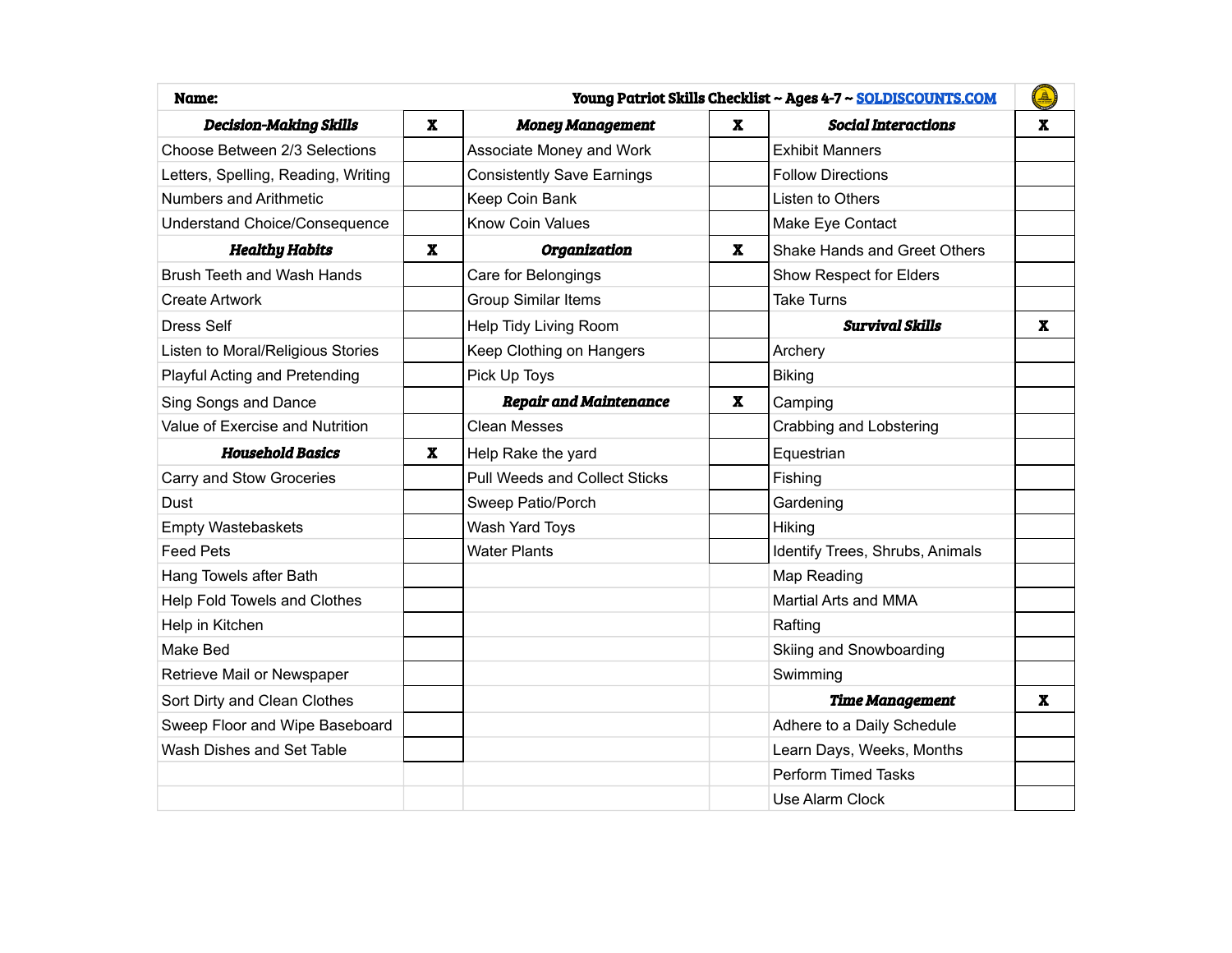| Young Patriot Skills Checklist ~ Ages 4-7 ~ SOLDISCOUNTS.COM<br>Name: |                           |                                      |              |                                 | $\mathbf{A}$ |
|-----------------------------------------------------------------------|---------------------------|--------------------------------------|--------------|---------------------------------|--------------|
| <b>Decision-Making Skills</b>                                         | $\mathbf x$               | <b>Money Management</b>              | $\mathbf{x}$ | <b>Social Interactions</b>      | $\mathbf x$  |
| Choose Between 2/3 Selections                                         |                           | Associate Money and Work             |              | <b>Exhibit Manners</b>          |              |
| Letters, Spelling, Reading, Writing                                   |                           | <b>Consistently Save Earnings</b>    |              | <b>Follow Directions</b>        |              |
| Numbers and Arithmetic                                                |                           | Keep Coin Bank                       |              | Listen to Others                |              |
| <b>Understand Choice/Consequence</b>                                  |                           | <b>Know Coin Values</b>              |              | Make Eye Contact                |              |
| <b>Healthy Habits</b>                                                 | $\boldsymbol{\textbf{X}}$ | Organization                         | $\mathbf{x}$ | Shake Hands and Greet Others    |              |
| <b>Brush Teeth and Wash Hands</b>                                     |                           | Care for Belongings                  |              | Show Respect for Elders         |              |
| <b>Create Artwork</b>                                                 |                           | <b>Group Similar Items</b>           |              | <b>Take Turns</b>               |              |
| <b>Dress Self</b>                                                     |                           | Help Tidy Living Room                |              | <b>Survival Skills</b>          | $\mathbf x$  |
| Listen to Moral/Religious Stories                                     |                           | Keep Clothing on Hangers             |              | Archery                         |              |
| Playful Acting and Pretending                                         |                           | Pick Up Toys                         |              | <b>Biking</b>                   |              |
| Sing Songs and Dance                                                  |                           | <b>Repair and Maintenance</b>        | $\mathbf{x}$ | Camping                         |              |
| Value of Exercise and Nutrition                                       |                           | <b>Clean Messes</b>                  |              | <b>Crabbing and Lobstering</b>  |              |
| <b>Household Basics</b>                                               | $\mathbf x$               | Help Rake the yard                   |              | Equestrian                      |              |
| Carry and Stow Groceries                                              |                           | <b>Pull Weeds and Collect Sticks</b> |              | Fishing                         |              |
| Dust                                                                  |                           | Sweep Patio/Porch                    |              | Gardening                       |              |
| Empty Wastebaskets                                                    |                           | Wash Yard Toys                       |              | Hiking                          |              |
| <b>Feed Pets</b>                                                      |                           | <b>Water Plants</b>                  |              | Identify Trees, Shrubs, Animals |              |
| Hang Towels after Bath                                                |                           |                                      |              | Map Reading                     |              |
| Help Fold Towels and Clothes                                          |                           |                                      |              | Martial Arts and MMA            |              |
| Help in Kitchen                                                       |                           |                                      |              | Rafting                         |              |
| Make Bed                                                              |                           |                                      |              | Skiing and Snowboarding         |              |
| Retrieve Mail or Newspaper                                            |                           |                                      |              | Swimming                        |              |
| Sort Dirty and Clean Clothes                                          |                           |                                      |              | <b>Time Management</b>          | $\mathbf x$  |
| Sweep Floor and Wipe Baseboard                                        |                           |                                      |              | Adhere to a Daily Schedule      |              |
| Wash Dishes and Set Table                                             |                           |                                      |              | Learn Days, Weeks, Months       |              |
|                                                                       |                           |                                      |              | <b>Perform Timed Tasks</b>      |              |
|                                                                       |                           |                                      |              | Use Alarm Clock                 |              |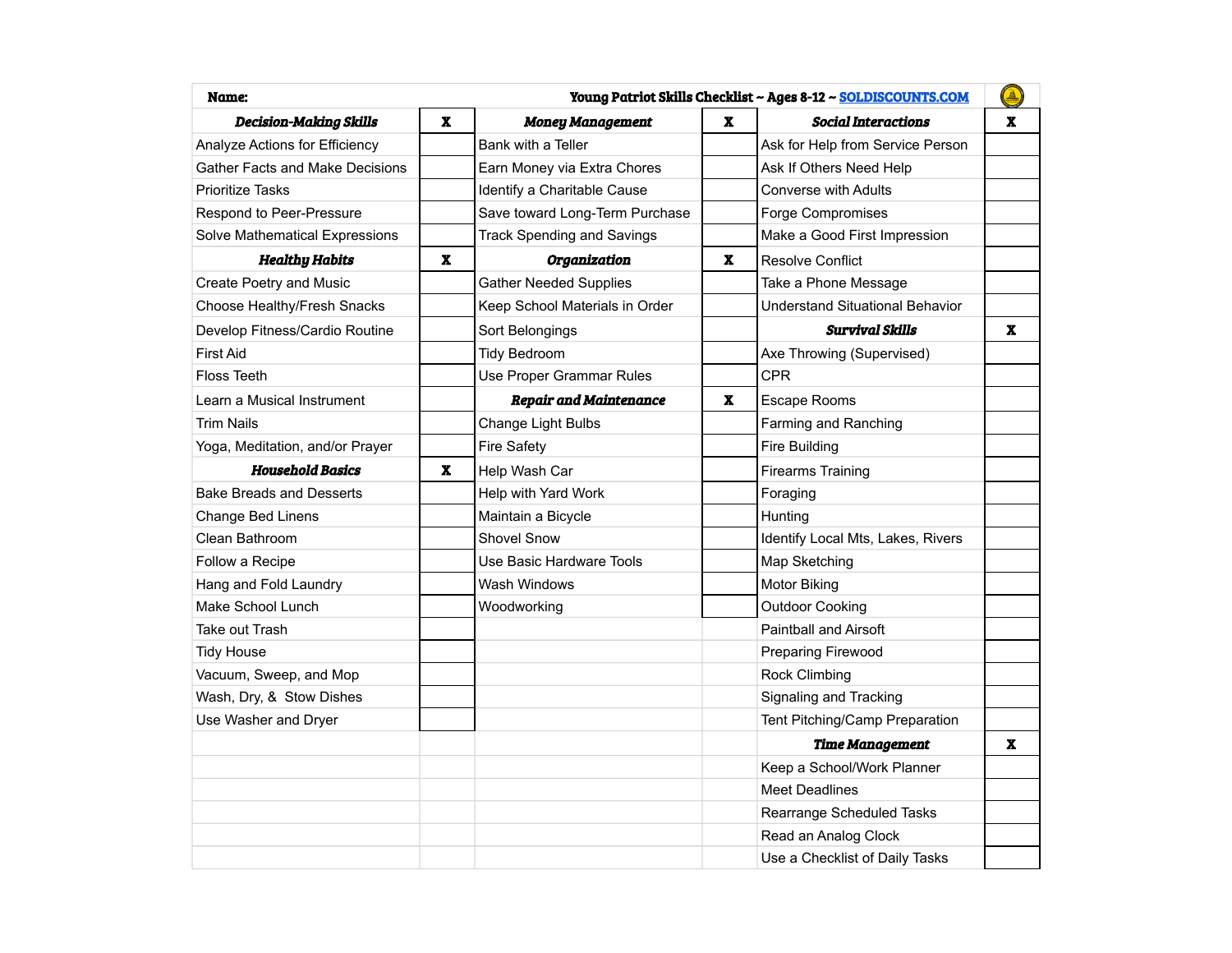| Young Patriot Skills Checklist ~ Ages 8-12 ~ SOLDISCOUNTS.COM<br>Name: |              |                                   |              | $\mathbf{A}$                           |   |
|------------------------------------------------------------------------|--------------|-----------------------------------|--------------|----------------------------------------|---|
| <b>Decision-Making Skills</b>                                          | x            | <b>Money Management</b>           | $\mathbf{x}$ | <b>Social Interactions</b>             | x |
| Analyze Actions for Efficiency                                         |              | Bank with a Teller                |              | Ask for Help from Service Person       |   |
| <b>Gather Facts and Make Decisions</b>                                 |              | Earn Money via Extra Chores       |              | Ask If Others Need Help                |   |
| <b>Prioritize Tasks</b>                                                |              | Identify a Charitable Cause       |              | <b>Converse with Adults</b>            |   |
| Respond to Peer-Pressure                                               |              | Save toward Long-Term Purchase    |              | Forge Compromises                      |   |
| Solve Mathematical Expressions                                         |              | <b>Track Spending and Savings</b> |              | Make a Good First Impression           |   |
| <b>Healthy Habits</b>                                                  | $\mathbf{x}$ | Organization                      | x            | <b>Resolve Conflict</b>                |   |
| Create Poetry and Music                                                |              | <b>Gather Needed Supplies</b>     |              | Take a Phone Message                   |   |
| Choose Healthy/Fresh Snacks                                            |              | Keep School Materials in Order    |              | <b>Understand Situational Behavior</b> |   |
| Develop Fitness/Cardio Routine                                         |              | Sort Belongings                   |              | <b>Survival Skills</b>                 | x |
| <b>First Aid</b>                                                       |              | <b>Tidy Bedroom</b>               |              | Axe Throwing (Supervised)              |   |
| <b>Floss Teeth</b>                                                     |              | Use Proper Grammar Rules          |              | <b>CPR</b>                             |   |
| Learn a Musical Instrument                                             |              | <b>Repair and Maintenance</b>     | x            | <b>Escape Rooms</b>                    |   |
| <b>Trim Nails</b>                                                      |              | Change Light Bulbs                |              | Farming and Ranching                   |   |
| Yoga, Meditation, and/or Prayer                                        |              | <b>Fire Safety</b>                |              | <b>Fire Building</b>                   |   |
| <b>Household Basics</b>                                                | x            | Help Wash Car                     |              | <b>Firearms Training</b>               |   |
| <b>Bake Breads and Desserts</b>                                        |              | Help with Yard Work               |              | Foraging                               |   |
| Change Bed Linens                                                      |              | Maintain a Bicycle                |              | Hunting                                |   |
| Clean Bathroom                                                         |              | <b>Shovel Snow</b>                |              | Identify Local Mts, Lakes, Rivers      |   |
| Follow a Recipe                                                        |              | Use Basic Hardware Tools          |              | Map Sketching                          |   |
| Hang and Fold Laundry                                                  |              | Wash Windows                      |              | Motor Biking                           |   |
| Make School Lunch                                                      |              | Woodworking                       |              | <b>Outdoor Cooking</b>                 |   |
| Take out Trash                                                         |              |                                   |              | <b>Paintball and Airsoft</b>           |   |
| <b>Tidy House</b>                                                      |              |                                   |              | Preparing Firewood                     |   |
| Vacuum, Sweep, and Mop                                                 |              |                                   |              | <b>Rock Climbing</b>                   |   |
| Wash, Dry, & Stow Dishes                                               |              |                                   |              | Signaling and Tracking                 |   |
| Use Washer and Dryer                                                   |              |                                   |              | Tent Pitching/Camp Preparation         |   |
|                                                                        |              |                                   |              | <b>Time Management</b>                 | x |
|                                                                        |              |                                   |              | Keep a School/Work Planner             |   |
|                                                                        |              |                                   |              | <b>Meet Deadlines</b>                  |   |
|                                                                        |              |                                   |              | Rearrange Scheduled Tasks              |   |
|                                                                        |              |                                   |              | Read an Analog Clock                   |   |
|                                                                        |              |                                   |              | Use a Checklist of Daily Tasks         |   |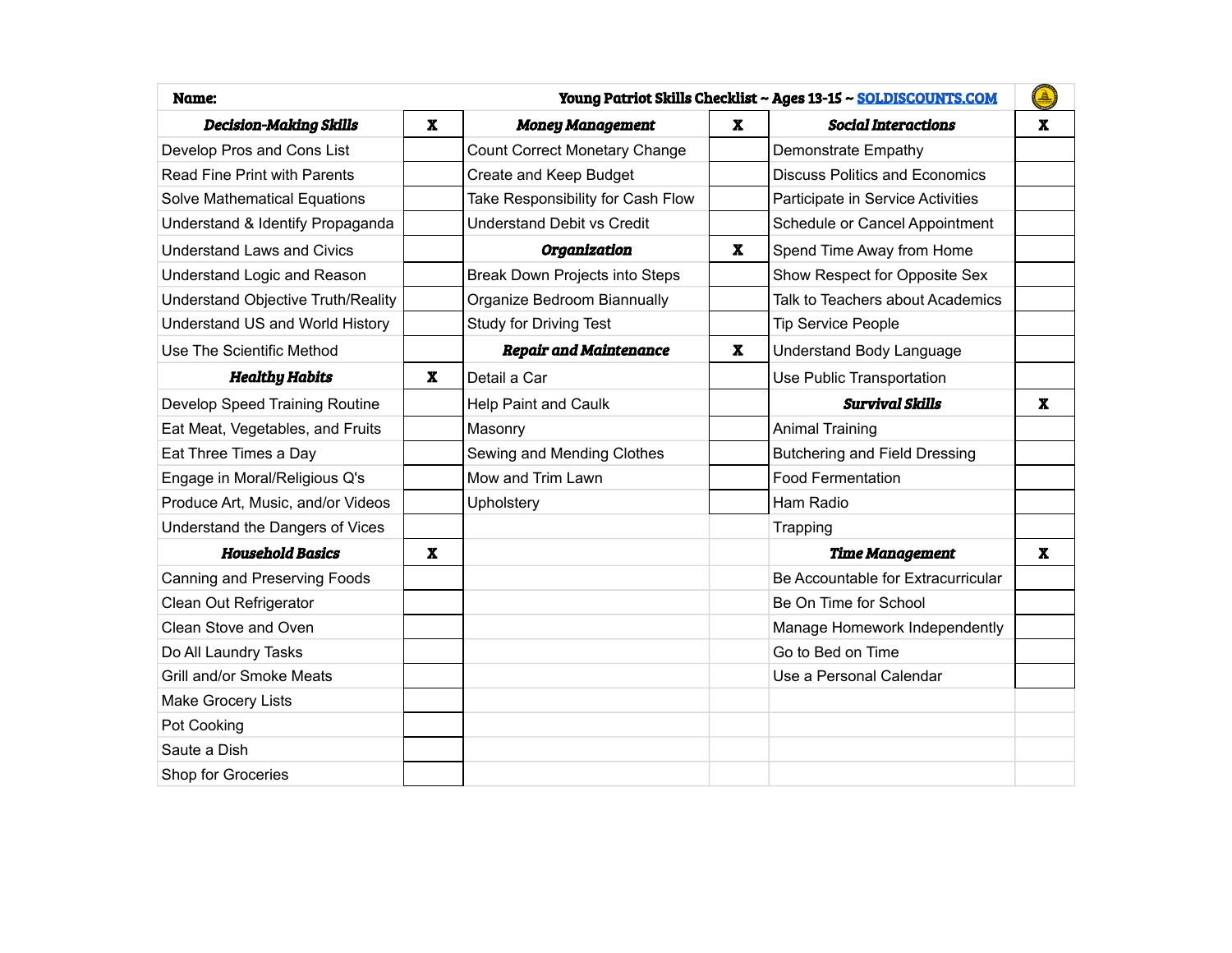| Young Patriot Skills Checklist ~ Ages 13-15 ~ SOLDISCOUNTS.COM<br>Name: |                           |                                      |              | ♦                                     |              |
|-------------------------------------------------------------------------|---------------------------|--------------------------------------|--------------|---------------------------------------|--------------|
| <b>Decision-Making Skills</b>                                           | $\boldsymbol{\mathrm{X}}$ | <b>Money Management</b>              | $\mathbf{x}$ | <b>Social Interactions</b>            | $\mathbf{x}$ |
| Develop Pros and Cons List                                              |                           | <b>Count Correct Monetary Change</b> |              | Demonstrate Empathy                   |              |
| Read Fine Print with Parents                                            |                           | Create and Keep Budget               |              | <b>Discuss Politics and Economics</b> |              |
| <b>Solve Mathematical Equations</b>                                     |                           | Take Responsibility for Cash Flow    |              | Participate in Service Activities     |              |
| Understand & Identify Propaganda                                        |                           | <b>Understand Debit vs Credit</b>    |              | Schedule or Cancel Appointment        |              |
| <b>Understand Laws and Civics</b>                                       |                           | Organization                         | $\mathbf{x}$ | Spend Time Away from Home             |              |
| Understand Logic and Reason                                             |                           | Break Down Projects into Steps       |              | Show Respect for Opposite Sex         |              |
| Understand Objective Truth/Reality                                      |                           | Organize Bedroom Biannually          |              | Talk to Teachers about Academics      |              |
| Understand US and World History                                         |                           | <b>Study for Driving Test</b>        |              | <b>Tip Service People</b>             |              |
| Use The Scientific Method                                               |                           | <b>Repair and Maintenance</b>        | X.           | Understand Body Language              |              |
| <b>Healthy Habits</b>                                                   | $\boldsymbol{\mathrm{X}}$ | Detail a Car                         |              | Use Public Transportation             |              |
| Develop Speed Training Routine                                          |                           | Help Paint and Caulk                 |              | <b>Survival Skills</b>                | $\mathbf{x}$ |
| Eat Meat, Vegetables, and Fruits                                        |                           | Masonry                              |              | <b>Animal Training</b>                |              |
| Eat Three Times a Day                                                   |                           | Sewing and Mending Clothes           |              | <b>Butchering and Field Dressing</b>  |              |
| Engage in Moral/Religious Q's                                           |                           | Mow and Trim Lawn                    |              | <b>Food Fermentation</b>              |              |
| Produce Art, Music, and/or Videos                                       |                           | Upholstery                           |              | Ham Radio                             |              |
| Understand the Dangers of Vices                                         |                           |                                      |              | Trapping                              |              |
| <b>Household Basics</b>                                                 | $\mathbf{x}$              |                                      |              | <b>Time Management</b>                | $\mathbf{x}$ |
| Canning and Preserving Foods                                            |                           |                                      |              | Be Accountable for Extracurricular    |              |
| Clean Out Refrigerator                                                  |                           |                                      |              | Be On Time for School                 |              |
| Clean Stove and Oven                                                    |                           |                                      |              | Manage Homework Independently         |              |
| Do All Laundry Tasks                                                    |                           |                                      |              | Go to Bed on Time                     |              |
| Grill and/or Smoke Meats                                                |                           |                                      |              | Use a Personal Calendar               |              |
| Make Grocery Lists                                                      |                           |                                      |              |                                       |              |
| Pot Cooking                                                             |                           |                                      |              |                                       |              |
| Saute a Dish                                                            |                           |                                      |              |                                       |              |
| Shop for Groceries                                                      |                           |                                      |              |                                       |              |